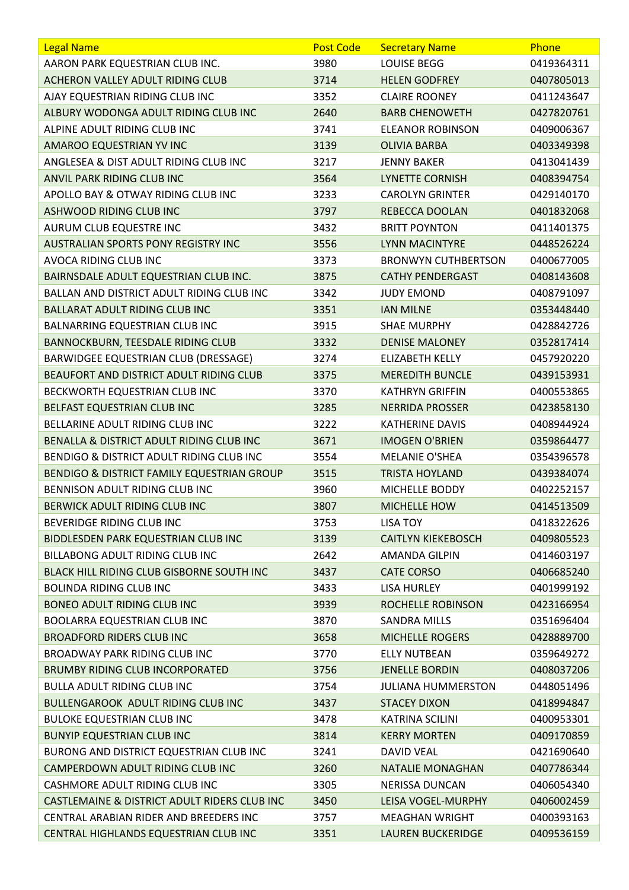| <b>Legal Name</b>                                | <b>Post Code</b> | <b>Secretary Name</b>      | Phone      |
|--------------------------------------------------|------------------|----------------------------|------------|
| AARON PARK EQUESTRIAN CLUB INC.                  | 3980             | <b>LOUISE BEGG</b>         | 0419364311 |
| ACHERON VALLEY ADULT RIDING CLUB                 | 3714             | <b>HELEN GODFREY</b>       | 0407805013 |
| AJAY EQUESTRIAN RIDING CLUB INC                  | 3352             | <b>CLAIRE ROONEY</b>       | 0411243647 |
| ALBURY WODONGA ADULT RIDING CLUB INC             | 2640             | <b>BARB CHENOWETH</b>      | 0427820761 |
| ALPINE ADULT RIDING CLUB INC                     | 3741             | <b>ELEANOR ROBINSON</b>    | 0409006367 |
| AMAROO EQUESTRIAN YV INC                         | 3139             | <b>OLIVIA BARBA</b>        | 0403349398 |
| ANGLESEA & DIST ADULT RIDING CLUB INC            | 3217             | <b>JENNY BAKER</b>         | 0413041439 |
| ANVIL PARK RIDING CLUB INC                       | 3564             | <b>LYNETTE CORNISH</b>     | 0408394754 |
| APOLLO BAY & OTWAY RIDING CLUB INC               | 3233             | <b>CAROLYN GRINTER</b>     | 0429140170 |
| <b>ASHWOOD RIDING CLUB INC</b>                   | 3797             | <b>REBECCA DOOLAN</b>      | 0401832068 |
| AURUM CLUB EQUESTRE INC                          | 3432             | <b>BRITT POYNTON</b>       | 0411401375 |
| <b>AUSTRALIAN SPORTS PONY REGISTRY INC</b>       | 3556             | <b>LYNN MACINTYRE</b>      | 0448526224 |
| AVOCA RIDING CLUB INC                            | 3373             | <b>BRONWYN CUTHBERTSON</b> | 0400677005 |
| BAIRNSDALE ADULT EQUESTRIAN CLUB INC.            | 3875             | <b>CATHY PENDERGAST</b>    | 0408143608 |
| BALLAN AND DISTRICT ADULT RIDING CLUB INC        | 3342             | <b>JUDY EMOND</b>          | 0408791097 |
| <b>BALLARAT ADULT RIDING CLUB INC</b>            | 3351             | <b>IAN MILNE</b>           | 0353448440 |
| BALNARRING EQUESTRIAN CLUB INC                   | 3915             | <b>SHAE MURPHY</b>         | 0428842726 |
| <b>BANNOCKBURN, TEESDALE RIDING CLUB</b>         | 3332             | <b>DENISE MALONEY</b>      | 0352817414 |
| BARWIDGEE EQUESTRIAN CLUB (DRESSAGE)             | 3274             | <b>ELIZABETH KELLY</b>     | 0457920220 |
| BEAUFORT AND DISTRICT ADULT RIDING CLUB          | 3375             | <b>MEREDITH BUNCLE</b>     | 0439153931 |
| BECKWORTH EQUESTRIAN CLUB INC                    | 3370             | <b>KATHRYN GRIFFIN</b>     | 0400553865 |
| BELFAST EQUESTRIAN CLUB INC                      | 3285             | <b>NERRIDA PROSSER</b>     | 0423858130 |
| BELLARINE ADULT RIDING CLUB INC                  | 3222             | <b>KATHERINE DAVIS</b>     | 0408944924 |
| BENALLA & DISTRICT ADULT RIDING CLUB INC         | 3671             | <b>IMOGEN O'BRIEN</b>      | 0359864477 |
| BENDIGO & DISTRICT ADULT RIDING CLUB INC         | 3554             | <b>MELANIE O'SHEA</b>      | 0354396578 |
| BENDIGO & DISTRICT FAMILY EQUESTRIAN GROUP       | 3515             | <b>TRISTA HOYLAND</b>      | 0439384074 |
| BENNISON ADULT RIDING CLUB INC                   | 3960             | MICHELLE BODDY             | 0402252157 |
| BERWICK ADULT RIDING CLUB INC                    | 3807             | <b>MICHELLE HOW</b>        | 0414513509 |
| BEVERIDGE RIDING CLUB INC                        | 3753             | <b>LISA TOY</b>            | 0418322626 |
| BIDDLESDEN PARK EQUESTRIAN CLUB INC              | 3139             | <b>CAITLYN KIEKEBOSCH</b>  | 0409805523 |
| BILLABONG ADULT RIDING CLUB INC                  | 2642             | <b>AMANDA GILPIN</b>       | 0414603197 |
| <b>BLACK HILL RIDING CLUB GISBORNE SOUTH INC</b> | 3437             | <b>CATE CORSO</b>          | 0406685240 |
| <b>BOLINDA RIDING CLUB INC</b>                   | 3433             | <b>LISA HURLEY</b>         | 0401999192 |
| <b>BONEO ADULT RIDING CLUB INC</b>               | 3939             | ROCHELLE ROBINSON          | 0423166954 |
| BOOLARRA EQUESTRIAN CLUB INC                     | 3870             | <b>SANDRA MILLS</b>        | 0351696404 |
| <b>BROADFORD RIDERS CLUB INC</b>                 | 3658             | <b>MICHELLE ROGERS</b>     | 0428889700 |
| <b>BROADWAY PARK RIDING CLUB INC</b>             | 3770             | <b>ELLY NUTBEAN</b>        | 0359649272 |
| <b>BRUMBY RIDING CLUB INCORPORATED</b>           | 3756             | <b>JENELLE BORDIN</b>      | 0408037206 |
| <b>BULLA ADULT RIDING CLUB INC</b>               | 3754             | <b>JULIANA HUMMERSTON</b>  | 0448051496 |
| BULLENGAROOK ADULT RIDING CLUB INC               | 3437             | <b>STACEY DIXON</b>        | 0418994847 |
| <b>BULOKE EQUESTRIAN CLUB INC</b>                | 3478             | <b>KATRINA SCILINI</b>     | 0400953301 |
| <b>BUNYIP EQUESTRIAN CLUB INC</b>                | 3814             | <b>KERRY MORTEN</b>        | 0409170859 |
| BURONG AND DISTRICT EQUESTRIAN CLUB INC          | 3241             | <b>DAVID VEAL</b>          | 0421690640 |
| CAMPERDOWN ADULT RIDING CLUB INC                 | 3260             | <b>NATALIE MONAGHAN</b>    | 0407786344 |
| CASHMORE ADULT RIDING CLUB INC                   | 3305             | <b>NERISSA DUNCAN</b>      | 0406054340 |
| CASTLEMAINE & DISTRICT ADULT RIDERS CLUB INC     | 3450             | <b>LEISA VOGEL-MURPHY</b>  | 0406002459 |
| CENTRAL ARABIAN RIDER AND BREEDERS INC           | 3757             | <b>MEAGHAN WRIGHT</b>      | 0400393163 |
| CENTRAL HIGHLANDS EQUESTRIAN CLUB INC            | 3351             | <b>LAUREN BUCKERIDGE</b>   | 0409536159 |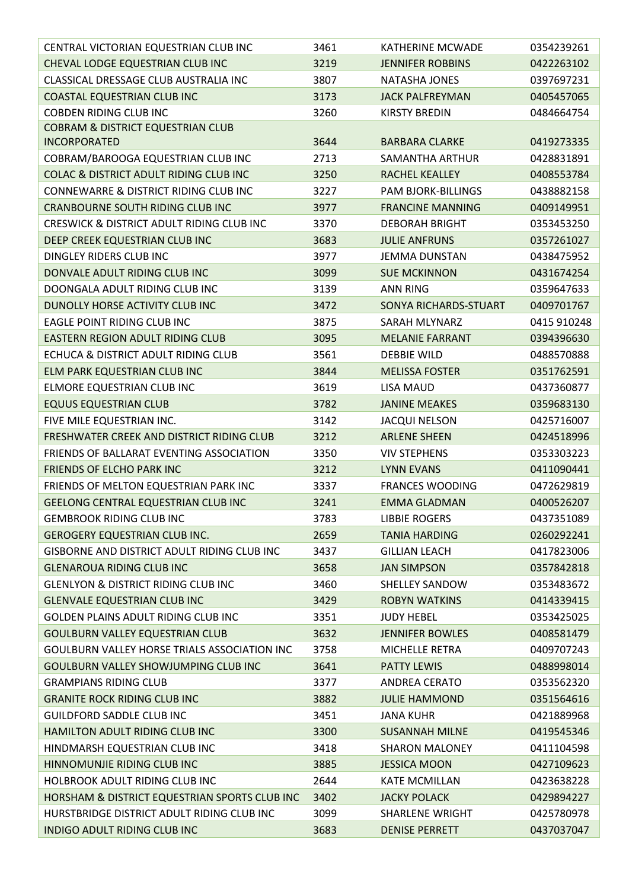| CENTRAL VICTORIAN EQUESTRIAN CLUB INC               | 3461 | <b>KATHERINE MCWADE</b>   | 0354239261  |
|-----------------------------------------------------|------|---------------------------|-------------|
| CHEVAL LODGE EQUESTRIAN CLUB INC                    | 3219 | <b>JENNIFER ROBBINS</b>   | 0422263102  |
| <b>CLASSICAL DRESSAGE CLUB AUSTRALIA INC</b>        | 3807 | NATASHA JONES             | 0397697231  |
| <b>COASTAL EQUESTRIAN CLUB INC</b>                  | 3173 | <b>JACK PALFREYMAN</b>    | 0405457065  |
| <b>COBDEN RIDING CLUB INC</b>                       | 3260 | <b>KIRSTY BREDIN</b>      | 0484664754  |
| <b>COBRAM &amp; DISTRICT EQUESTRIAN CLUB</b>        |      |                           |             |
| <b>INCORPORATED</b>                                 | 3644 | <b>BARBARA CLARKE</b>     | 0419273335  |
| COBRAM/BAROOGA EQUESTRIAN CLUB INC                  | 2713 | SAMANTHA ARTHUR           | 0428831891  |
| <b>COLAC &amp; DISTRICT ADULT RIDING CLUB INC</b>   | 3250 | <b>RACHEL KEALLEY</b>     | 0408553784  |
| CONNEWARRE & DISTRICT RIDING CLUB INC               | 3227 | <b>PAM BJORK-BILLINGS</b> | 0438882158  |
| CRANBOURNE SOUTH RIDING CLUB INC                    | 3977 | <b>FRANCINE MANNING</b>   | 0409149951  |
| CRESWICK & DISTRICT ADULT RIDING CLUB INC           | 3370 | <b>DEBORAH BRIGHT</b>     | 0353453250  |
| DEEP CREEK EQUESTRIAN CLUB INC                      | 3683 | <b>JULIE ANFRUNS</b>      | 0357261027  |
| DINGLEY RIDERS CLUB INC                             | 3977 | <b>JEMMA DUNSTAN</b>      | 0438475952  |
| DONVALE ADULT RIDING CLUB INC                       | 3099 | <b>SUE MCKINNON</b>       | 0431674254  |
| DOONGALA ADULT RIDING CLUB INC                      | 3139 | <b>ANN RING</b>           | 0359647633  |
| DUNOLLY HORSE ACTIVITY CLUB INC                     | 3472 | SONYA RICHARDS-STUART     | 0409701767  |
| <b>EAGLE POINT RIDING CLUB INC</b>                  | 3875 | SARAH MLYNARZ             | 0415 910248 |
| <b>EASTERN REGION ADULT RIDING CLUB</b>             | 3095 | <b>MELANIE FARRANT</b>    | 0394396630  |
| ECHUCA & DISTRICT ADULT RIDING CLUB                 | 3561 | <b>DEBBIE WILD</b>        | 0488570888  |
| ELM PARK EQUESTRIAN CLUB INC                        | 3844 | <b>MELISSA FOSTER</b>     | 0351762591  |
| ELMORE EQUESTRIAN CLUB INC                          | 3619 | LISA MAUD                 | 0437360877  |
| <b>EQUUS EQUESTRIAN CLUB</b>                        | 3782 | <b>JANINE MEAKES</b>      | 0359683130  |
| FIVE MILE EQUESTRIAN INC.                           | 3142 | <b>JACQUI NELSON</b>      | 0425716007  |
| FRESHWATER CREEK AND DISTRICT RIDING CLUB           | 3212 | <b>ARLENE SHEEN</b>       | 0424518996  |
| FRIENDS OF BALLARAT EVENTING ASSOCIATION            | 3350 | <b>VIV STEPHENS</b>       | 0353303223  |
| <b>FRIENDS OF ELCHO PARK INC</b>                    | 3212 | <b>LYNN EVANS</b>         | 0411090441  |
| FRIENDS OF MELTON EQUESTRIAN PARK INC               | 3337 | <b>FRANCES WOODING</b>    | 0472629819  |
| GEELONG CENTRAL EQUESTRIAN CLUB INC                 | 3241 | <b>EMMA GLADMAN</b>       | 0400526207  |
| <b>GEMBROOK RIDING CLUB INC</b>                     | 3783 | <b>LIBBIE ROGERS</b>      | 0437351089  |
| <b>GEROGERY EQUESTRIAN CLUB INC.</b>                | 2659 | <b>TANIA HARDING</b>      | 0260292241  |
| <b>GISBORNE AND DISTRICT ADULT RIDING CLUB INC</b>  | 3437 | <b>GILLIAN LEACH</b>      | 0417823006  |
| <b>GLENAROUA RIDING CLUB INC</b>                    | 3658 | <b>JAN SIMPSON</b>        | 0357842818  |
| <b>GLENLYON &amp; DISTRICT RIDING CLUB INC</b>      | 3460 | <b>SHELLEY SANDOW</b>     | 0353483672  |
| <b>GLENVALE EQUESTRIAN CLUB INC</b>                 | 3429 | <b>ROBYN WATKINS</b>      | 0414339415  |
| <b>GOLDEN PLAINS ADULT RIDING CLUB INC</b>          | 3351 | <b>JUDY HEBEL</b>         | 0353425025  |
| <b>GOULBURN VALLEY EQUESTRIAN CLUB</b>              | 3632 | <b>JENNIFER BOWLES</b>    | 0408581479  |
| <b>GOULBURN VALLEY HORSE TRIALS ASSOCIATION INC</b> | 3758 | <b>MICHELLE RETRA</b>     | 0409707243  |
| <b>GOULBURN VALLEY SHOWJUMPING CLUB INC</b>         | 3641 | <b>PATTY LEWIS</b>        | 0488998014  |
| <b>GRAMPIANS RIDING CLUB</b>                        | 3377 | <b>ANDREA CERATO</b>      | 0353562320  |
| <b>GRANITE ROCK RIDING CLUB INC</b>                 | 3882 | <b>JULIE HAMMOND</b>      | 0351564616  |
| <b>GUILDFORD SADDLE CLUB INC</b>                    | 3451 | <b>JANA KUHR</b>          | 0421889968  |
| HAMILTON ADULT RIDING CLUB INC                      | 3300 | <b>SUSANNAH MILNE</b>     | 0419545346  |
| HINDMARSH EQUESTRIAN CLUB INC                       | 3418 | <b>SHARON MALONEY</b>     | 0411104598  |
| HINNOMUNJIE RIDING CLUB INC                         | 3885 | <b>JESSICA MOON</b>       | 0427109623  |
| <b>HOLBROOK ADULT RIDING CLUB INC</b>               | 2644 | <b>KATE MCMILLAN</b>      | 0423638228  |
| HORSHAM & DISTRICT EQUESTRIAN SPORTS CLUB INC       | 3402 | <b>JACKY POLACK</b>       | 0429894227  |
| HURSTBRIDGE DISTRICT ADULT RIDING CLUB INC          | 3099 | <b>SHARLENE WRIGHT</b>    | 0425780978  |
| INDIGO ADULT RIDING CLUB INC                        | 3683 | <b>DENISE PERRETT</b>     | 0437037047  |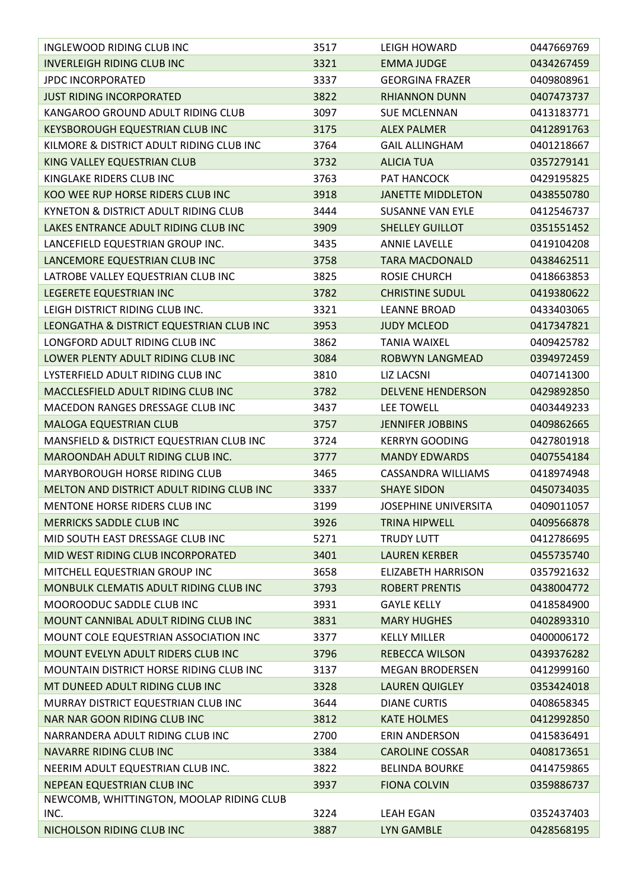| INGLEWOOD RIDING CLUB INC                      | 3517 | LEIGH HOWARD                | 0447669769 |
|------------------------------------------------|------|-----------------------------|------------|
| <b>INVERLEIGH RIDING CLUB INC</b>              | 3321 | <b>EMMA JUDGE</b>           | 0434267459 |
| <b>JPDC INCORPORATED</b>                       | 3337 | <b>GEORGINA FRAZER</b>      | 0409808961 |
| <b>JUST RIDING INCORPORATED</b>                | 3822 | <b>RHIANNON DUNN</b>        | 0407473737 |
| KANGAROO GROUND ADULT RIDING CLUB              | 3097 | <b>SUE MCLENNAN</b>         | 0413183771 |
| <b>KEYSBOROUGH EQUESTRIAN CLUB INC</b>         | 3175 | <b>ALEX PALMER</b>          | 0412891763 |
| KILMORE & DISTRICT ADULT RIDING CLUB INC       | 3764 | <b>GAIL ALLINGHAM</b>       | 0401218667 |
| KING VALLEY EQUESTRIAN CLUB                    | 3732 | <b>ALICIA TUA</b>           | 0357279141 |
| KINGLAKE RIDERS CLUB INC                       | 3763 | PAT HANCOCK                 | 0429195825 |
| KOO WEE RUP HORSE RIDERS CLUB INC              | 3918 | <b>JANETTE MIDDLETON</b>    | 0438550780 |
| KYNETON & DISTRICT ADULT RIDING CLUB           | 3444 | <b>SUSANNE VAN EYLE</b>     | 0412546737 |
| LAKES ENTRANCE ADULT RIDING CLUB INC           | 3909 | <b>SHELLEY GUILLOT</b>      | 0351551452 |
| LANCEFIELD EQUESTRIAN GROUP INC.               | 3435 | <b>ANNIE LAVELLE</b>        | 0419104208 |
| LANCEMORE EQUESTRIAN CLUB INC                  | 3758 | <b>TARA MACDONALD</b>       | 0438462511 |
| LATROBE VALLEY EQUESTRIAN CLUB INC             | 3825 | <b>ROSIE CHURCH</b>         | 0418663853 |
| LEGERETE EQUESTRIAN INC                        | 3782 | <b>CHRISTINE SUDUL</b>      | 0419380622 |
| LEIGH DISTRICT RIDING CLUB INC.                | 3321 | <b>LEANNE BROAD</b>         | 0433403065 |
| LEONGATHA & DISTRICT EQUESTRIAN CLUB INC       | 3953 | <b>JUDY MCLEOD</b>          | 0417347821 |
| LONGFORD ADULT RIDING CLUB INC                 | 3862 | <b>TANIA WAIXEL</b>         | 0409425782 |
| LOWER PLENTY ADULT RIDING CLUB INC             | 3084 | <b>ROBWYN LANGMEAD</b>      | 0394972459 |
| LYSTERFIELD ADULT RIDING CLUB INC              | 3810 | <b>LIZ LACSNI</b>           | 0407141300 |
| MACCLESFIELD ADULT RIDING CLUB INC             | 3782 | <b>DELVENE HENDERSON</b>    | 0429892850 |
| MACEDON RANGES DRESSAGE CLUB INC               | 3437 | LEE TOWELL                  | 0403449233 |
| MALOGA EQUESTRIAN CLUB                         | 3757 | <b>JENNIFER JOBBINS</b>     | 0409862665 |
| MANSFIELD & DISTRICT EQUESTRIAN CLUB INC       | 3724 | <b>KERRYN GOODING</b>       | 0427801918 |
| MAROONDAH ADULT RIDING CLUB INC.               | 3777 | <b>MANDY EDWARDS</b>        | 0407554184 |
| MARYBOROUGH HORSE RIDING CLUB                  | 3465 | CASSANDRA WILLIAMS          | 0418974948 |
| MELTON AND DISTRICT ADULT RIDING CLUB INC      | 3337 | <b>SHAYE SIDON</b>          | 0450734035 |
| MENTONE HORSE RIDERS CLUB INC                  | 3199 | <b>JOSEPHINE UNIVERSITA</b> | 0409011057 |
| <b>MERRICKS SADDLE CLUB INC</b>                | 3926 | <b>TRINA HIPWELL</b>        | 0409566878 |
| MID SOUTH EAST DRESSAGE CLUB INC               | 5271 | <b>TRUDY LUTT</b>           | 0412786695 |
| MID WEST RIDING CLUB INCORPORATED              | 3401 | <b>LAUREN KERBER</b>        | 0455735740 |
| MITCHELL EQUESTRIAN GROUP INC                  | 3658 | <b>ELIZABETH HARRISON</b>   | 0357921632 |
| MONBULK CLEMATIS ADULT RIDING CLUB INC         | 3793 | <b>ROBERT PRENTIS</b>       | 0438004772 |
| MOOROODUC SADDLE CLUB INC                      | 3931 | <b>GAYLE KELLY</b>          | 0418584900 |
| MOUNT CANNIBAL ADULT RIDING CLUB INC           | 3831 | <b>MARY HUGHES</b>          | 0402893310 |
| MOUNT COLE EQUESTRIAN ASSOCIATION INC          | 3377 | <b>KELLY MILLER</b>         | 0400006172 |
| MOUNT EVELYN ADULT RIDERS CLUB INC             | 3796 | <b>REBECCA WILSON</b>       | 0439376282 |
| <b>MOUNTAIN DISTRICT HORSE RIDING CLUB INC</b> | 3137 | <b>MEGAN BRODERSEN</b>      | 0412999160 |
| MT DUNEED ADULT RIDING CLUB INC                | 3328 | <b>LAUREN QUIGLEY</b>       | 0353424018 |
| MURRAY DISTRICT EQUESTRIAN CLUB INC            | 3644 | <b>DIANE CURTIS</b>         | 0408658345 |
| NAR NAR GOON RIDING CLUB INC                   | 3812 | <b>KATE HOLMES</b>          | 0412992850 |
| NARRANDERA ADULT RIDING CLUB INC               | 2700 | <b>ERIN ANDERSON</b>        | 0415836491 |
| <b>NAVARRE RIDING CLUB INC</b>                 | 3384 | <b>CAROLINE COSSAR</b>      | 0408173651 |
| NEERIM ADULT EQUESTRIAN CLUB INC.              | 3822 | <b>BELINDA BOURKE</b>       | 0414759865 |
| NEPEAN EQUESTRIAN CLUB INC                     | 3937 | <b>FIONA COLVIN</b>         | 0359886737 |
| NEWCOMB, WHITTINGTON, MOOLAP RIDING CLUB       |      |                             |            |
| INC.                                           | 3224 | <b>LEAH EGAN</b>            | 0352437403 |
| NICHOLSON RIDING CLUB INC                      | 3887 | LYN GAMBLE                  | 0428568195 |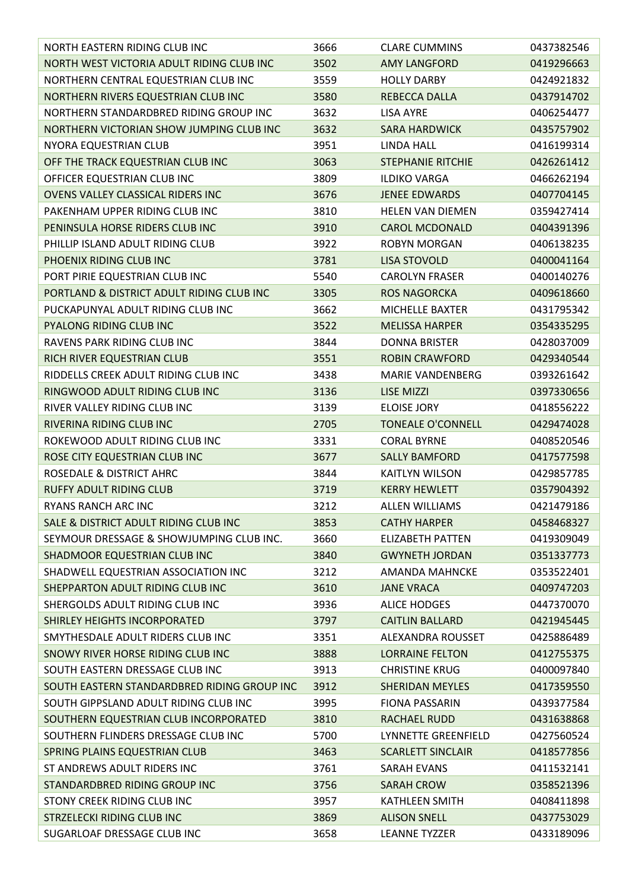| NORTH EASTERN RIDING CLUB INC               | 3666 | <b>CLARE CUMMINS</b>       | 0437382546 |
|---------------------------------------------|------|----------------------------|------------|
| NORTH WEST VICTORIA ADULT RIDING CLUB INC   | 3502 | <b>AMY LANGFORD</b>        | 0419296663 |
| NORTHERN CENTRAL EQUESTRIAN CLUB INC        | 3559 | <b>HOLLY DARBY</b>         | 0424921832 |
| NORTHERN RIVERS EQUESTRIAN CLUB INC         | 3580 | REBECCA DALLA              | 0437914702 |
| NORTHERN STANDARDBRED RIDING GROUP INC      | 3632 | <b>LISA AYRE</b>           | 0406254477 |
| NORTHERN VICTORIAN SHOW JUMPING CLUB INC    | 3632 | <b>SARA HARDWICK</b>       | 0435757902 |
| NYORA EQUESTRIAN CLUB                       | 3951 | <b>LINDA HALL</b>          | 0416199314 |
| OFF THE TRACK EQUESTRIAN CLUB INC           | 3063 | <b>STEPHANIE RITCHIE</b>   | 0426261412 |
| OFFICER EQUESTRIAN CLUB INC                 | 3809 | <b>ILDIKO VARGA</b>        | 0466262194 |
| OVENS VALLEY CLASSICAL RIDERS INC           | 3676 | <b>JENEE EDWARDS</b>       | 0407704145 |
| PAKENHAM UPPER RIDING CLUB INC              | 3810 | <b>HELEN VAN DIEMEN</b>    | 0359427414 |
| PENINSULA HORSE RIDERS CLUB INC             | 3910 | <b>CAROL MCDONALD</b>      | 0404391396 |
| PHILLIP ISLAND ADULT RIDING CLUB            | 3922 | <b>ROBYN MORGAN</b>        | 0406138235 |
| PHOENIX RIDING CLUB INC                     | 3781 | <b>LISA STOVOLD</b>        | 0400041164 |
| PORT PIRIE EQUESTRIAN CLUB INC              | 5540 | <b>CAROLYN FRASER</b>      | 0400140276 |
| PORTLAND & DISTRICT ADULT RIDING CLUB INC   | 3305 | <b>ROS NAGORCKA</b>        | 0409618660 |
| PUCKAPUNYAL ADULT RIDING CLUB INC           | 3662 | MICHELLE BAXTER            | 0431795342 |
| <b>PYALONG RIDING CLUB INC</b>              | 3522 | <b>MELISSA HARPER</b>      | 0354335295 |
| RAVENS PARK RIDING CLUB INC                 | 3844 | <b>DONNA BRISTER</b>       | 0428037009 |
| RICH RIVER EQUESTRIAN CLUB                  | 3551 | <b>ROBIN CRAWFORD</b>      | 0429340544 |
| RIDDELLS CREEK ADULT RIDING CLUB INC        | 3438 | <b>MARIE VANDENBERG</b>    | 0393261642 |
| RINGWOOD ADULT RIDING CLUB INC              | 3136 | <b>LISE MIZZI</b>          | 0397330656 |
| RIVER VALLEY RIDING CLUB INC                | 3139 | <b>ELOISE JORY</b>         | 0418556222 |
| RIVERINA RIDING CLUB INC                    | 2705 | <b>TONEALE O'CONNELL</b>   | 0429474028 |
| ROKEWOOD ADULT RIDING CLUB INC              | 3331 | <b>CORAL BYRNE</b>         | 0408520546 |
| ROSE CITY EQUESTRIAN CLUB INC               | 3677 | <b>SALLY BAMFORD</b>       | 0417577598 |
| ROSEDALE & DISTRICT AHRC                    | 3844 | <b>KAITLYN WILSON</b>      | 0429857785 |
| <b>RUFFY ADULT RIDING CLUB</b>              | 3719 | <b>KERRY HEWLETT</b>       | 0357904392 |
| RYANS RANCH ARC INC                         | 3212 | <b>ALLEN WILLIAMS</b>      | 0421479186 |
| SALE & DISTRICT ADULT RIDING CLUB INC       | 3853 | <b>CATHY HARPER</b>        | 0458468327 |
| SEYMOUR DRESSAGE & SHOWJUMPING CLUB INC.    | 3660 | <b>ELIZABETH PATTEN</b>    | 0419309049 |
| SHADMOOR EQUESTRIAN CLUB INC                | 3840 | <b>GWYNETH JORDAN</b>      | 0351337773 |
| SHADWELL EQUESTRIAN ASSOCIATION INC         | 3212 | <b>AMANDA MAHNCKE</b>      | 0353522401 |
| SHEPPARTON ADULT RIDING CLUB INC            | 3610 | <b>JANE VRACA</b>          | 0409747203 |
| SHERGOLDS ADULT RIDING CLUB INC             | 3936 | <b>ALICE HODGES</b>        | 0447370070 |
| SHIRLEY HEIGHTS INCORPORATED                | 3797 | <b>CAITLIN BALLARD</b>     | 0421945445 |
| SMYTHESDALE ADULT RIDERS CLUB INC           | 3351 | <b>ALEXANDRA ROUSSET</b>   | 0425886489 |
| SNOWY RIVER HORSE RIDING CLUB INC           | 3888 | <b>LORRAINE FELTON</b>     | 0412755375 |
| SOUTH EASTERN DRESSAGE CLUB INC             | 3913 | <b>CHRISTINE KRUG</b>      | 0400097840 |
| SOUTH EASTERN STANDARDBRED RIDING GROUP INC | 3912 | <b>SHERIDAN MEYLES</b>     | 0417359550 |
| SOUTH GIPPSLAND ADULT RIDING CLUB INC       | 3995 | <b>FIONA PASSARIN</b>      | 0439377584 |
| SOUTHERN EQUESTRIAN CLUB INCORPORATED       | 3810 | <b>RACHAEL RUDD</b>        | 0431638868 |
| SOUTHERN FLINDERS DRESSAGE CLUB INC         | 5700 | <b>LYNNETTE GREENFIELD</b> | 0427560524 |
| SPRING PLAINS EQUESTRIAN CLUB               | 3463 | <b>SCARLETT SINCLAIR</b>   | 0418577856 |
| ST ANDREWS ADULT RIDERS INC                 | 3761 | <b>SARAH EVANS</b>         | 0411532141 |
| STANDARDBRED RIDING GROUP INC               | 3756 | <b>SARAH CROW</b>          | 0358521396 |
| STONY CREEK RIDING CLUB INC                 | 3957 | <b>KATHLEEN SMITH</b>      | 0408411898 |
| STRZELECKI RIDING CLUB INC                  | 3869 | <b>ALISON SNELL</b>        | 0437753029 |
| SUGARLOAF DRESSAGE CLUB INC                 | 3658 | <b>LEANNE TYZZER</b>       | 0433189096 |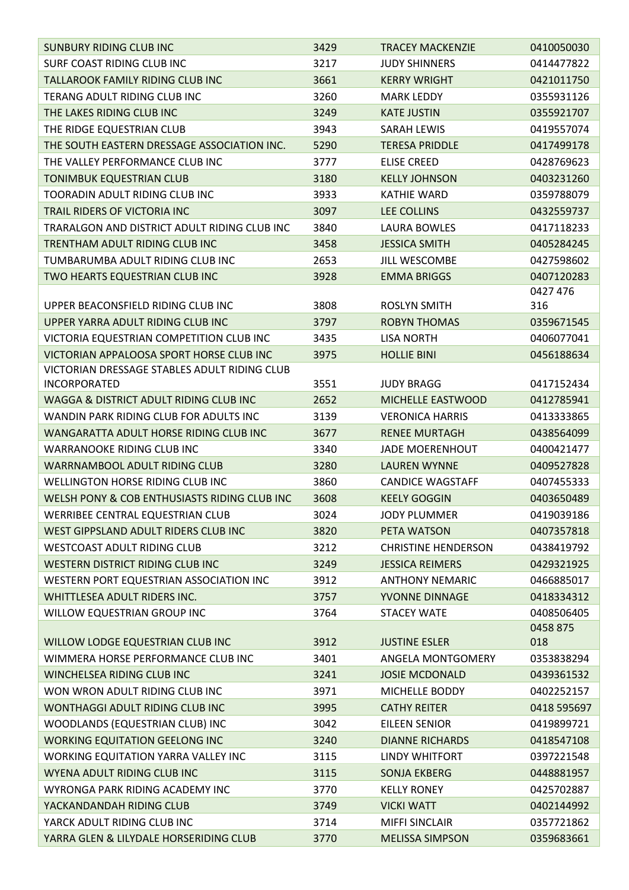| <b>SUNBURY RIDING CLUB INC</b>               | 3429 | <b>TRACEY MACKENZIE</b>    | 0410050030  |
|----------------------------------------------|------|----------------------------|-------------|
| SURF COAST RIDING CLUB INC                   | 3217 | <b>JUDY SHINNERS</b>       | 0414477822  |
| <b>TALLAROOK FAMILY RIDING CLUB INC</b>      | 3661 | <b>KERRY WRIGHT</b>        | 0421011750  |
| TERANG ADULT RIDING CLUB INC                 | 3260 | <b>MARK LEDDY</b>          | 0355931126  |
| THE LAKES RIDING CLUB INC                    | 3249 | <b>KATE JUSTIN</b>         | 0355921707  |
| THE RIDGE EQUESTRIAN CLUB                    | 3943 | <b>SARAH LEWIS</b>         | 0419557074  |
| THE SOUTH EASTERN DRESSAGE ASSOCIATION INC.  | 5290 | <b>TERESA PRIDDLE</b>      | 0417499178  |
| THE VALLEY PERFORMANCE CLUB INC              | 3777 | <b>ELISE CREED</b>         | 0428769623  |
| <b>TONIMBUK EQUESTRIAN CLUB</b>              | 3180 | <b>KELLY JOHNSON</b>       | 0403231260  |
| <b>TOORADIN ADULT RIDING CLUB INC</b>        | 3933 | <b>KATHIE WARD</b>         | 0359788079  |
| TRAIL RIDERS OF VICTORIA INC                 | 3097 | <b>LEE COLLINS</b>         | 0432559737  |
| TRARALGON AND DISTRICT ADULT RIDING CLUB INC | 3840 | <b>LAURA BOWLES</b>        | 0417118233  |
| TRENTHAM ADULT RIDING CLUB INC               | 3458 | <b>JESSICA SMITH</b>       | 0405284245  |
| TUMBARUMBA ADULT RIDING CLUB INC             | 2653 | JILL WESCOMBE              | 0427598602  |
| TWO HEARTS EQUESTRIAN CLUB INC               | 3928 | <b>EMMA BRIGGS</b>         | 0407120283  |
|                                              |      |                            | 0427 476    |
| UPPER BEACONSFIELD RIDING CLUB INC           | 3808 | <b>ROSLYN SMITH</b>        | 316         |
| UPPER YARRA ADULT RIDING CLUB INC            | 3797 | <b>ROBYN THOMAS</b>        | 0359671545  |
| VICTORIA EQUESTRIAN COMPETITION CLUB INC     | 3435 | <b>LISA NORTH</b>          | 0406077041  |
| VICTORIAN APPALOOSA SPORT HORSE CLUB INC     | 3975 | <b>HOLLIE BINI</b>         | 0456188634  |
| VICTORIAN DRESSAGE STABLES ADULT RIDING CLUB |      |                            |             |
| <b>INCORPORATED</b>                          | 3551 | <b>JUDY BRAGG</b>          | 0417152434  |
| WAGGA & DISTRICT ADULT RIDING CLUB INC       | 2652 | MICHELLE EASTWOOD          | 0412785941  |
| WANDIN PARK RIDING CLUB FOR ADULTS INC       | 3139 | <b>VERONICA HARRIS</b>     | 0413333865  |
| WANGARATTA ADULT HORSE RIDING CLUB INC       | 3677 | <b>RENEE MURTAGH</b>       | 0438564099  |
| <b>WARRANOOKE RIDING CLUB INC</b>            | 3340 | <b>JADE MOERENHOUT</b>     | 0400421477  |
| <b>WARRNAMBOOL ADULT RIDING CLUB</b>         | 3280 | <b>LAUREN WYNNE</b>        | 0409527828  |
| WELLINGTON HORSE RIDING CLUB INC             | 3860 | <b>CANDICE WAGSTAFF</b>    | 0407455333  |
| WELSH PONY & COB ENTHUSIASTS RIDING CLUB INC | 3608 | <b>KEELY GOGGIN</b>        | 0403650489  |
| WERRIBEE CENTRAL EQUESTRIAN CLUB             | 3024 | <b>JODY PLUMMER</b>        | 0419039186  |
| WEST GIPPSLAND ADULT RIDERS CLUB INC         | 3820 | PETA WATSON                | 0407357818  |
| WESTCOAST ADULT RIDING CLUB                  | 3212 | <b>CHRISTINE HENDERSON</b> | 0438419792  |
| WESTERN DISTRICT RIDING CLUB INC             | 3249 | <b>JESSICA REIMERS</b>     | 0429321925  |
| WESTERN PORT EQUESTRIAN ASSOCIATION INC      | 3912 | <b>ANTHONY NEMARIC</b>     | 0466885017  |
| WHITTLESEA ADULT RIDERS INC.                 | 3757 | YVONNE DINNAGE             | 0418334312  |
| WILLOW EQUESTRIAN GROUP INC                  | 3764 | <b>STACEY WATE</b>         | 0408506405  |
|                                              |      |                            | 0458 875    |
| WILLOW LODGE EQUESTRIAN CLUB INC             | 3912 | <b>JUSTINE ESLER</b>       | 018         |
| WIMMERA HORSE PERFORMANCE CLUB INC           | 3401 | ANGELA MONTGOMERY          | 0353838294  |
| WINCHELSEA RIDING CLUB INC                   | 3241 | <b>JOSIE MCDONALD</b>      | 0439361532  |
| WON WRON ADULT RIDING CLUB INC               | 3971 | MICHELLE BODDY             | 0402252157  |
| WONTHAGGI ADULT RIDING CLUB INC              | 3995 | <b>CATHY REITER</b>        | 0418 595697 |
| WOODLANDS (EQUESTRIAN CLUB) INC              | 3042 | EILEEN SENIOR              | 0419899721  |
| <b>WORKING EQUITATION GEELONG INC</b>        | 3240 | <b>DIANNE RICHARDS</b>     | 0418547108  |
| <b>WORKING EQUITATION YARRA VALLEY INC</b>   | 3115 | LINDY WHITFORT             | 0397221548  |
| WYENA ADULT RIDING CLUB INC                  | 3115 | <b>SONJA EKBERG</b>        | 0448881957  |
| WYRONGA PARK RIDING ACADEMY INC              | 3770 | <b>KELLY RONEY</b>         | 0425702887  |
| YACKANDANDAH RIDING CLUB                     | 3749 | <b>VICKI WATT</b>          | 0402144992  |
| YARCK ADULT RIDING CLUB INC                  | 3714 | <b>MIFFI SINCLAIR</b>      | 0357721862  |
| YARRA GLEN & LILYDALE HORSERIDING CLUB       | 3770 | <b>MELISSA SIMPSON</b>     | 0359683661  |